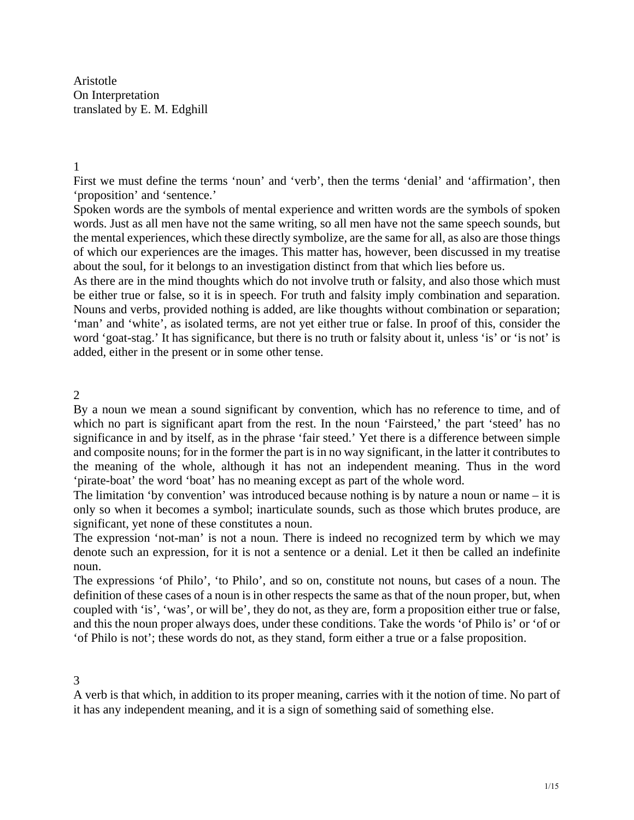Aristotle On Interpretation translated by E. M. Edghill

#### 1

First we must define the terms 'noun' and 'verb', then the terms 'denial' and 'affirmation', then 'proposition' and 'sentence.'

Spoken words are the symbols of mental experience and written words are the symbols of spoken words. Just as all men have not the same writing, so all men have not the same speech sounds, but the mental experiences, which these directly symbolize, are the same for all, as also are those things of which our experiences are the images. This matter has, however, been discussed in my treatise about the soul, for it belongs to an investigation distinct from that which lies before us.

As there are in the mind thoughts which do not involve truth or falsity, and also those which must be either true or false, so it is in speech. For truth and falsity imply combination and separation. Nouns and verbs, provided nothing is added, are like thoughts without combination or separation; 'man' and 'white', as isolated terms, are not yet either true or false. In proof of this, consider the word 'goat-stag.' It has significance, but there is no truth or falsity about it, unless 'is' or 'is not' is added, either in the present or in some other tense.

#### 2

By a noun we mean a sound significant by convention, which has no reference to time, and of which no part is significant apart from the rest. In the noun 'Fairsteed,' the part 'steed' has no significance in and by itself, as in the phrase 'fair steed.' Yet there is a difference between simple and composite nouns; for in the former the part is in no way significant, in the latter it contributes to the meaning of the whole, although it has not an independent meaning. Thus in the word 'pirate-boat' the word 'boat' has no meaning except as part of the whole word.

The limitation 'by convention' was introduced because nothing is by nature a noun or name  $-$  it is only so when it becomes a symbol; inarticulate sounds, such as those which brutes produce, are significant, yet none of these constitutes a noun.

The expression 'not-man' is not a noun. There is indeed no recognized term by which we may denote such an expression, for it is not a sentence or a denial. Let it then be called an indefinite noun.

The expressions 'of Philo', 'to Philo', and so on, constitute not nouns, but cases of a noun. The definition of these cases of a noun is in other respects the same as that of the noun proper, but, when coupled with 'is', 'was', or will be', they do not, as they are, form a proposition either true or false, and this the noun proper always does, under these conditions. Take the words 'of Philo is' or 'of or 'of Philo is not'; these words do not, as they stand, form either a true or a false proposition.

#### 3

A verb is that which, in addition to its proper meaning, carries with it the notion of time. No part of it has any independent meaning, and it is a sign of something said of something else.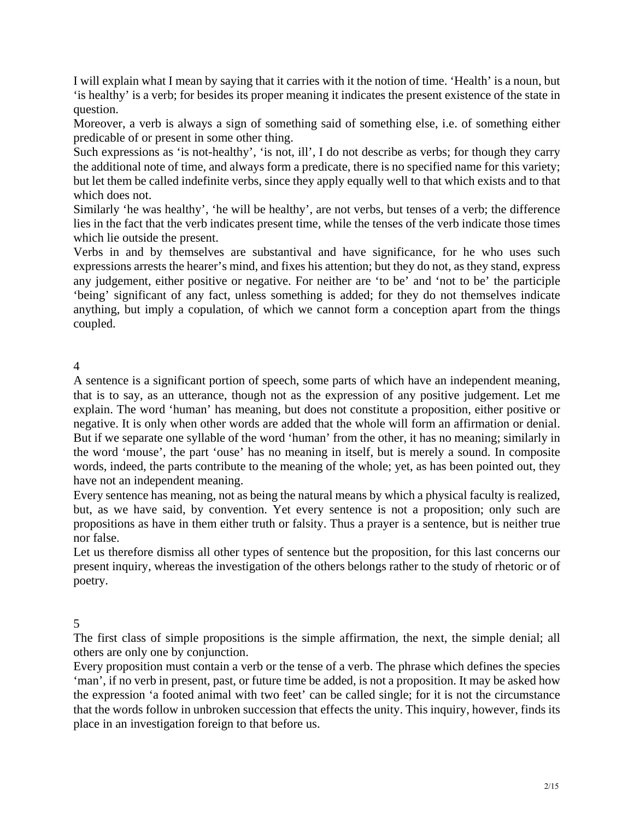I will explain what I mean by saying that it carries with it the notion of time. 'Health' is a noun, but 'is healthy' is a verb; for besides its proper meaning it indicates the present existence of the state in question.

Moreover, a verb is always a sign of something said of something else, i.e. of something either predicable of or present in some other thing.

Such expressions as 'is not-healthy', 'is not, ill', I do not describe as verbs; for though they carry the additional note of time, and always form a predicate, there is no specified name for this variety; but let them be called indefinite verbs, since they apply equally well to that which exists and to that which does not.

Similarly 'he was healthy', 'he will be healthy', are not verbs, but tenses of a verb; the difference lies in the fact that the verb indicates present time, while the tenses of the verb indicate those times which lie outside the present.

Verbs in and by themselves are substantival and have significance, for he who uses such expressions arrests the hearer's mind, and fixes his attention; but they do not, as they stand, express any judgement, either positive or negative. For neither are 'to be' and 'not to be' the participle 'being' significant of any fact, unless something is added; for they do not themselves indicate anything, but imply a copulation, of which we cannot form a conception apart from the things coupled.

# 4

A sentence is a significant portion of speech, some parts of which have an independent meaning, that is to say, as an utterance, though not as the expression of any positive judgement. Let me explain. The word 'human' has meaning, but does not constitute a proposition, either positive or negative. It is only when other words are added that the whole will form an affirmation or denial. But if we separate one syllable of the word 'human' from the other, it has no meaning; similarly in the word 'mouse', the part 'ouse' has no meaning in itself, but is merely a sound. In composite words, indeed, the parts contribute to the meaning of the whole; yet, as has been pointed out, they have not an independent meaning.

Every sentence has meaning, not as being the natural means by which a physical faculty is realized, but, as we have said, by convention. Yet every sentence is not a proposition; only such are propositions as have in them either truth or falsity. Thus a prayer is a sentence, but is neither true nor false.

Let us therefore dismiss all other types of sentence but the proposition, for this last concerns our present inquiry, whereas the investigation of the others belongs rather to the study of rhetoric or of poetry.

### 5

The first class of simple propositions is the simple affirmation, the next, the simple denial; all others are only one by conjunction.

Every proposition must contain a verb or the tense of a verb. The phrase which defines the species 'man', if no verb in present, past, or future time be added, is not a proposition. It may be asked how the expression 'a footed animal with two feet' can be called single; for it is not the circumstance that the words follow in unbroken succession that effects the unity. This inquiry, however, finds its place in an investigation foreign to that before us.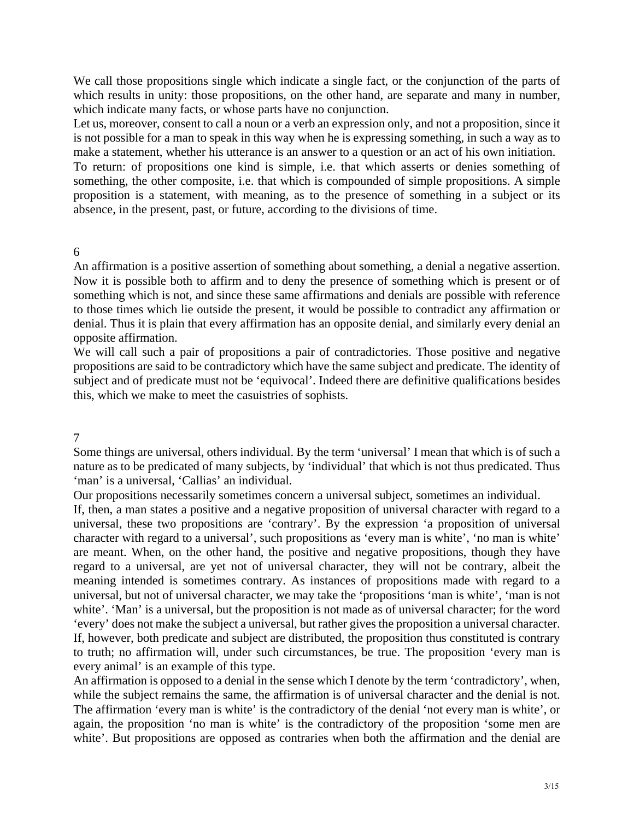We call those propositions single which indicate a single fact, or the conjunction of the parts of which results in unity: those propositions, on the other hand, are separate and many in number, which indicate many facts, or whose parts have no conjunction.

Let us, moreover, consent to call a noun or a verb an expression only, and not a proposition, since it is not possible for a man to speak in this way when he is expressing something, in such a way as to make a statement, whether his utterance is an answer to a question or an act of his own initiation. To return: of propositions one kind is simple, i.e. that which asserts or denies something of something, the other composite, i.e. that which is compounded of simple propositions. A simple proposition is a statement, with meaning, as to the presence of something in a subject or its

absence, in the present, past, or future, according to the divisions of time.

6

An affirmation is a positive assertion of something about something, a denial a negative assertion. something which is not, and since these same affirmations and denials are possible with reference Now it is possible both to affirm and to deny the presence of something which is present or of to those times which lie outside the present, it would be possible to contradict any affirmation or denial. Thus it is plain that every affirmation has an opposite denial, and similarly every denial an opposite affirmation.

propositions are said to be contradictory which have the same subject and predicate. The identity of We will call such a pair of propositions a pair of contradictories. Those positive and negative subject and of predicate must not be 'equivocal'. Indeed there are definitive qualifications besides this, which we make to meet the casuistries of sophists.

7

Some things are universal, others individual. By the term 'universal' I mean that which is of such a nature as to be predicated of many subjects, by 'individual' that which is not thus predicated. Thus 'man' is a universal, 'Callias' an individual.

Our propositions necessarily sometimes concern a universal subject, sometimes an individual.

If, then, a man states a positive and a negative proposition of universal character with regard to a universal, these two propositions are 'contrary'. By the expression 'a proposition of universal character with regard to a universal', such propositions as 'every man is white', 'no man is white' are meant. When, on the other hand, the positive and negative propositions, though they have regard to a universal, are yet not of universal character, they will not be contrary, albeit the meaning intended is sometimes contrary. As instances of propositions made with regard to a universal, but not of universal character, we may take the 'propositions 'man is white', 'man is not white'. 'Man' is a universal, but the proposition is not made as of universal character; for the word 'every' does not make the subject a universal, but rather gives the proposition a universal character. If, however, both predicate and subject are distributed, the proposition thus constituted is contrary to truth; no affirmation will, under such circumstances, be true. The proposition 'every man is every animal' is an example of this type.

while the subject remains the same, the affirmation is of universal character and the denial is not. An affirmation is opposed to a denial in the sense which I denote by the term 'contradictory', when, The affirmation 'every man is white' is the contradictory of the denial 'not every man is white', or again, the proposition 'no man is white' is the contradictory of the proposition 'some men are white'. But propositions are opposed as contraries when both the affirmation and the denial are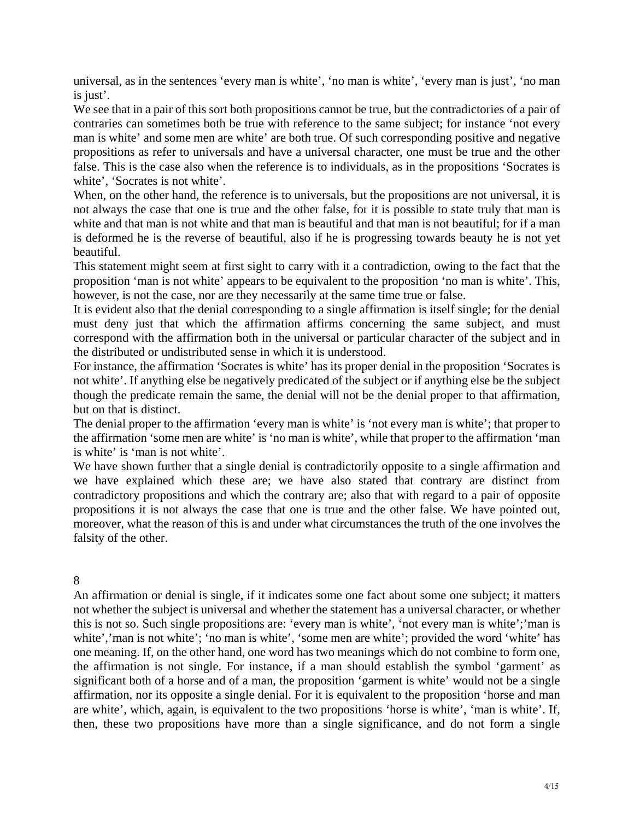universal, as in the sentences 'every man is white', 'no man is white', 'every man is just', 'no man is just'.

We see that in a pair of this sort both propositions cannot be true, but the contradictories of a pair of contraries can sometimes both be true with reference to the same subject; for instance 'not every man is white' and some men are white' are both true. Of such corresponding positive and negative propositions as refer to universals and have a universal character, one must be true and the other false. This is the case also when the reference is to individuals, as in the propositions 'Socrates is white', 'Socrates is not white'.

not always the case that one is true and the other false, for it is possible to state truly that man is When, on the other hand, the reference is to universals, but the propositions are not universal, it is white and that man is not white and that man is beautiful and that man is not beautiful; for if a man is deformed he is the reverse of beautiful, also if he is progressing towards beauty he is not yet beautiful.

proposition 'man is not white' appears to be equivalent to the proposition 'no man is white'. This, This statement might seem at first sight to carry with it a contradiction, owing to the fact that the however, is not the case, nor are they necessarily at the same time true or false.

must deny just that which the affirmation affirms concerning the same subject, and must It is evident also that the denial corresponding to a single affirmation is itself single; for the denial correspond with the affirmation both in the universal or particular character of the subject and in the distributed or undistributed sense in which it is understood.

not white'. If anything else be negatively predicated of the subject or if anything else be the subject For instance, the affirmation 'Socrates is white' has its proper denial in the proposition 'Socrates is though the predicate remain the same, the denial will not be the denial proper to that affirmation, but on that is distinct.

the affirmation 'some men are white' is 'no man is white', while that proper to the affirmation 'man The denial proper to the affirmation 'every man is white' is 'not every man is white'; that proper to is white' is 'man is not white'.

we have explained which these are; we have also stated that contrary are distinct from We have shown further that a single denial is contradictorily opposite to a single affirmation and contradictory propositions and which the contrary are; also that with regard to a pair of opposite propositions it is not always the case that one is true and the other false. We have pointed out, moreover, what the reason of this is and under what circumstances the truth of the one involves the falsity of the other.

### 8

An affirmation or denial is single, if it indicates some one fact about some one subject; it matters not whether the subject is universal and whether the statement has a universal character, or whether this is not so. Such single propositions are: 'every man is white', 'not every man is white';'man is white','man is not white'; 'no man is white', 'some men are white'; provided the word 'white' has one meaning. If, on the other hand, one word has two meanings which do not combine to form one, the affirmation is not single. For instance, if a man should establish the symbol 'garment' as significant both of a horse and of a man, the proposition 'garment is white' would not be a single affirmation, nor its opposite a single denial. For it is equivalent to the proposition 'horse and man are white', which, again, is equivalent to the two propositions 'horse is white', 'man is white'. If, then, these two propositions have more than a single significance, and do not form a single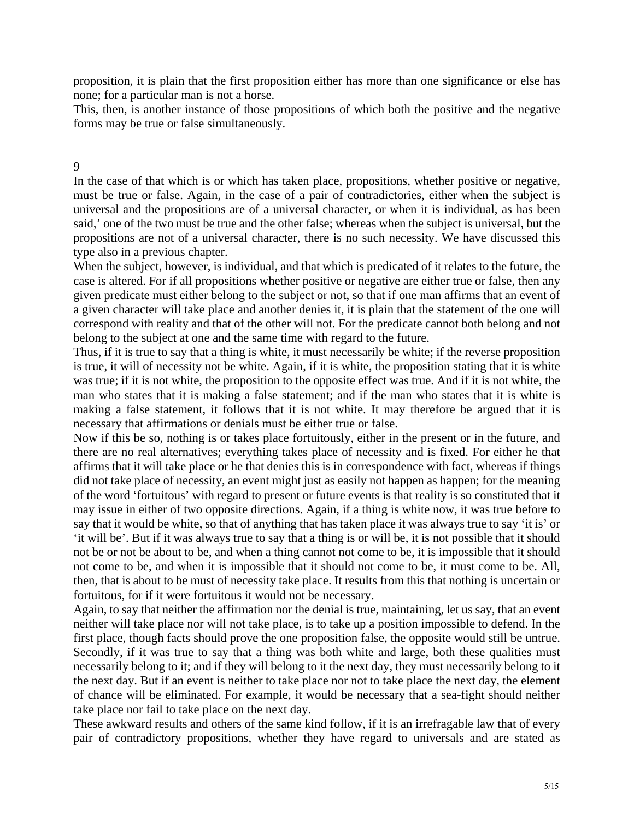proposition, it is plain that the first proposition either has more than one significance or else has none; for a particular man is not a horse.

This, then, is another instance of those propositions of which both the positive and the negative forms may be true or false simultaneously.

9

In the case of that which is or which has taken place, propositions, whether positive or negative, must be true or false. Again, in the case of a pair of contradictories, either when the subject is universal and the propositions are of a universal character, or when it is individual, as has been said,' one of the two must be true and the other false; whereas when the subject is universal, but the propositions are not of a universal character, there is no such necessity. We have discussed this type also in a previous chapter.

When the subject, however, is individual, and that which is predicated of it relates to the future, the case is altered. For if all propositions whether positive or negative are either true or false, then any given predicate must either belong to the subject or not, so that if one man affirms that an event of a given character will take place and another denies it, it is plain that the statement of the one will correspond with reality and that of the other will not. For the predicate cannot both belong and not belong to the subject at one and the same time with regard to the future.

Thus, if it is true to say that a thing is white, it must necessarily be white; if the reverse proposition is true, it will of necessity not be white. Again, if it is white, the proposition stating that it is white was true; if it is not white, the proposition to the opposite effect was true. And if it is not white, the man who states that it is making a false statement; and if the man who states that it is white is making a false statement, it follows that it is not white. It may therefore be argued that it is necessary that affirmations or denials must be either true or false.

Now if this be so, nothing is or takes place fortuitously, either in the present or in the future, and there are no real alternatives; everything takes place of necessity and is fixed. For either he that affirms that it will take place or he that denies this is in correspondence with fact, whereas if things did not take place of necessity, an event might just as easily not happen as happen; for the meaning of the word 'fortuitous' with regard to present or future events is that reality is so constituted that it may issue in either of two opposite directions. Again, if a thing is white now, it was true before to say that it would be white, so that of anything that has taken place it was always true to say 'it is' or 'it will be'. But if it was always true to say that a thing is or will be, it is not possible that it should not be or not be about to be, and when a thing cannot not come to be, it is impossible that it should not come to be, and when it is impossible that it should not come to be, it must come to be. All, then, that is about to be must of necessity take place. It results from this that nothing is uncertain or fortuitous, for if it were fortuitous it would not be necessary.

Again, to say that neither the affirmation nor the denial is true, maintaining, let us say, that an event neither will take place nor will not take place, is to take up a position impossible to defend. In the first place, though facts should prove the one proposition false, the opposite would still be untrue. Secondly, if it was true to say that a thing was both white and large, both these qualities must necessarily belong to it; and if they will belong to it the next day, they must necessarily belong to it the next day. But if an event is neither to take place nor not to take place the next day, the element of chance will be eliminated. For example, it would be necessary that a sea-fight should neither take place nor fail to take place on the next day.

These awkward results and others of the same kind follow, if it is an irrefragable law that of every pair of contradictory propositions, whether they have regard to universals and are stated as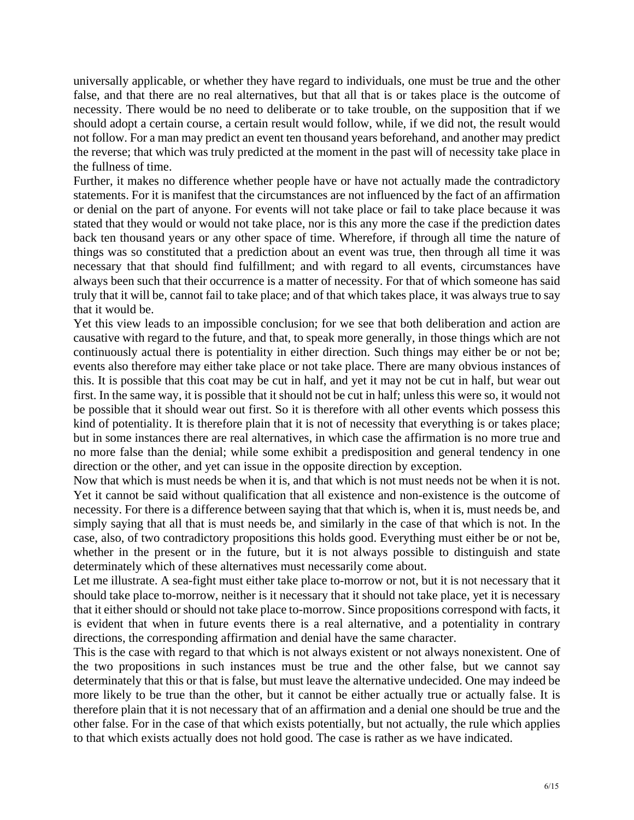universally applicable, or whether they have regard to individuals, one must be true and the other false, and that there are no real alternatives, but that all that is or takes place is the outcome of necessity. There would be no need to deliberate or to take trouble, on the supposition that if we should adopt a certain course, a certain result would follow, while, if we did not, the result would not follow. For a man may predict an event ten thousand years beforehand, and another may predict the reverse; that which was truly predicted at the moment in the past will of necessity take place in the fullness of time.

Further, it makes no difference whether people have or have not actually made the contradictory statements. For it is manifest that the circumstances are not influenced by the fact of an affirmation or denial on the part of anyone. For events will not take place or fail to take place because it was stated that they would or would not take place, nor is this any more the case if the prediction dates back ten thousand years or any other space of time. Wherefore, if through all time the nature of things was so constituted that a prediction about an event was true, then through all time it was necessary that that should find fulfillment; and with regard to all events, circumstances have always been such that their occurrence is a matter of necessity. For that of which someone has said truly that it will be, cannot fail to take place; and of that which takes place, it was always true to say that it would be.

causative with regard to the future, and that, to speak more generally, in those things which are not Yet this view leads to an impossible conclusion; for we see that both deliberation and action are continuously actual there is potentiality in either direction. Such things may either be or not be; events also therefore may either take place or not take place. There are many obvious instances of this. It is possible that this coat may be cut in half, and yet it may not be cut in half, but wear out first. In the same way, it is possible that it should not be cut in half; unless this were so, it would not be possible that it should wear out first. So it is therefore with all other events which possess this kind of potentiality. It is therefore plain that it is not of necessity that everything is or takes place; but in some instances there are real alternatives, in which case the affirmation is no more true and no more false than the denial; while some exhibit a predisposition and general tendency in one direction or the other, and yet can issue in the opposite direction by exception.

necessity. For there is a difference between saying that that which is, when it is, must needs be, and Now that which is must needs be when it is, and that which is not must needs not be when it is not. Yet it cannot be said without qualification that all existence and non-existence is the outcome of simply saying that all that is must needs be, and similarly in the case of that which is not. In the case, also, of two contradictory propositions this holds good. Everything must either be or not be, whether in the present or in the future, but it is not always possible to distinguish and state determinately which of these alternatives must necessarily come about.

that it either should or should not take place to-morrow. Since propositions correspond with facts, it Let me illustrate. A sea-fight must either take place to-morrow or not, but it is not necessary that it should take place to-morrow, neither is it necessary that it should not take place, yet it is necessary is evident that when in future events there is a real alternative, and a potentiality in contrary directions, the corresponding affirmation and denial have the same character.

This is the case with regard to that which is not always existent or not always nonexistent. One of the two propositions in such instances must be true and the other false, but we cannot say determinately that this or that is false, but must leave the alternative undecided. One may indeed be more likely to be true than the other, but it cannot be either actually true or actually false. It is therefore plain that it is not necessary that of an affirmation and a denial one should be true and the other false. For in the case of that which exists potentially, but not actually, the rule which applies to that which exists actually does not hold good. The case is rather as we have indicated.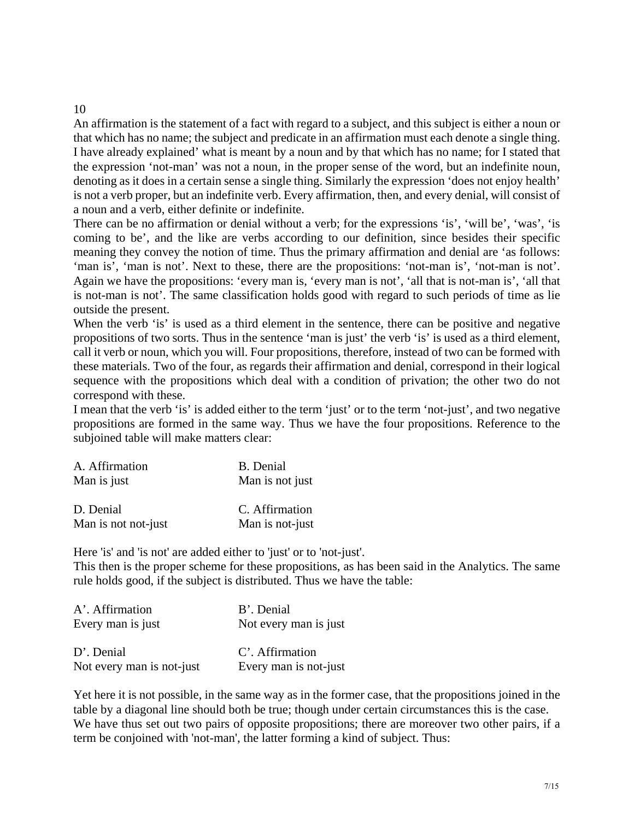### 10

An affirmation is the statement of a fact with regard to a subject, and this subject is either a noun or that which has no name; the subject and predicate in an affirmation must each denote a single thing. I have already explained' what is meant by a noun and by that which has no name; for I stated that the expression 'not-man' was not a noun, in the proper sense of the word, but an indefinite noun, denoting as it does in a certain sense a single thing. Similarly the expression 'does not enjoy health' is not a verb proper, but an indefinite verb. Every affirmation, then, and every denial, will consist of a noun and a verb, either definite or indefinite.

meaning they convey the notion of time. Thus the primary affirmation and denial are 'as follows: There can be no affirmation or denial without a verb; for the expressions 'is', 'will be', 'was', 'is coming to be', and the like are verbs according to our definition, since besides their specific 'man is', 'man is not'. Next to these, there are the propositions: 'not-man is', 'not-man is not'. Again we have the propositions: 'every man is, 'every man is not', 'all that is not-man is', 'all that is not-man is not'. The same classification holds good with regard to such periods of time as lie outside the present.

call it verb or noun, which you will. Four propositions, therefore, instead of two can be formed with When the verb 'is' is used as a third element in the sentence, there can be positive and negative propositions of two sorts. Thus in the sentence 'man is just' the verb 'is' is used as a third element, these materials. Two of the four, as regards their affirmation and denial, correspond in their logical sequence with the propositions which deal with a condition of privation; the other two do not correspond with these.

subjoined table will make matters clear: I mean that the verb 'is' is added either to the term 'just' or to the term 'not-just', and two negative propositions are formed in the same way. Thus we have the four propositions. Reference to the

| A. Affirmation      | <b>B.</b> Denial |
|---------------------|------------------|
| Man is just         | Man is not just  |
|                     |                  |
| D. Denial           | C. Affirmation   |
| Man is not not-just | Man is not-just  |

Here 'is' and 'is not' are added either to 'just' or to 'not-just'.

This then is the proper scheme for these propositions, as has been said in the Analytics. The same rule holds good, if the subject is distributed. Thus we have the table:

| A'. Affirmation           | B'. Denial            |
|---------------------------|-----------------------|
| Every man is just         | Not every man is just |
|                           |                       |
| $D'$ . Denial             | C'. Affirmation       |
| Not every man is not-just | Every man is not-just |

Yet here it is not possible, in the same way as in the former case, that the propositions joined in the table by a diagonal line should both be true; though under certain circumstances this is the case. We have thus set out two pairs of opposite propositions; there are moreover two other pairs, if a term be conjoined with 'not-man', the latter forming a kind of subject. Thus: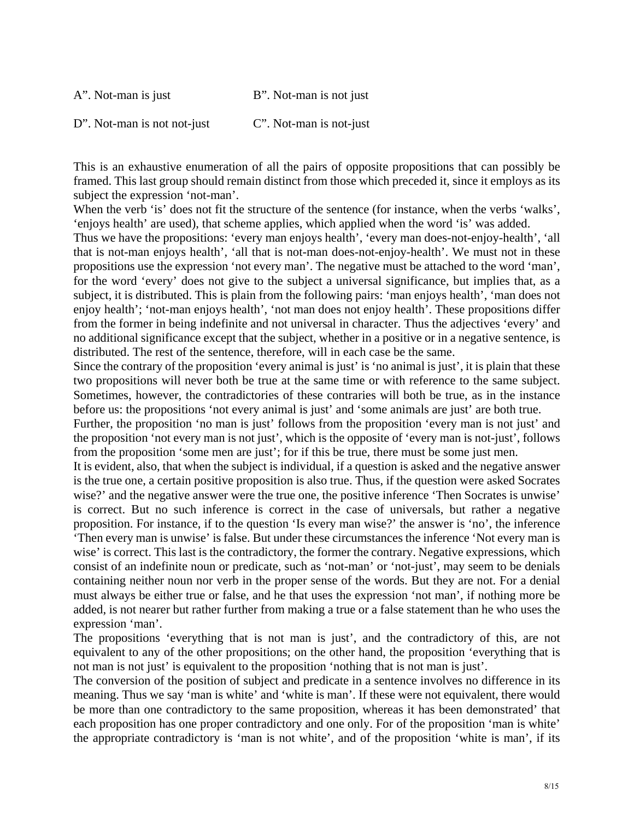| A". Not-man is just         | B". Not-man is not just    |
|-----------------------------|----------------------------|
| D". Not-man is not not-just | $C$ ". Not-man is not-just |

This is an exhaustive enumeration of all the pairs of opposite propositions that can possibly be framed. This last group should remain distinct from those which preceded it, since it employs as its subject the expression 'not-man'.

When the verb 'is' does not fit the structure of the sentence (for instance, when the verbs 'walks', 'enjoys health' are used), that scheme applies, which applied when the word 'is' was added.

propositions use the expression 'not every man'. The negative must be attached to the word 'man', subject, it is distributed. This is plain from the following pairs: 'man enjoys health', 'man does not Thus we have the propositions: 'every man enjoys health', 'every man does-not-enjoy-health', 'all that is not-man enjoys health', 'all that is not-man does-not-enjoy-health'. We must not in these for the word 'every' does not give to the subject a universal significance, but implies that, as a enjoy health'; 'not-man enjoys health', 'not man does not enjoy health'. These propositions differ from the former in being indefinite and not universal in character. Thus the adjectives 'every' and no additional significance except that the subject, whether in a positive or in a negative sentence, is distributed. The rest of the sentence, therefore, will in each case be the same.

Since the contrary of the proposition 'every animal is just' is 'no animal is just', it is plain that these two propositions will never both be true at the same time or with reference to the same subject. Sometimes, however, the contradictories of these contraries will both be true, as in the instance before us: the propositions 'not every animal is just' and 'some animals are just' are both true.

the proposition 'not every man is not just', which is the opposite of 'every man is not-just', follows Further, the proposition 'no man is just' follows from the proposition 'every man is not just' and from the proposition 'some men are just'; for if this be true, there must be some just men.

is correct. But no such inference is correct in the case of universals, but rather a negative It is evident, also, that when the subject is individual, if a question is asked and the negative answer is the true one, a certain positive proposition is also true. Thus, if the question were asked Socrates wise?' and the negative answer were the true one, the positive inference 'Then Socrates is unwise' proposition. For instance, if to the question 'Is every man wise?' the answer is 'no', the inference 'Then every man is unwise' is false. But under these circumstances the inference 'Not every man is wise' is correct. This last is the contradictory, the former the contrary. Negative expressions, which consist of an indefinite noun or predicate, such as 'not-man' or 'not-just', may seem to be denials containing neither noun nor verb in the proper sense of the words. But they are not. For a denial must always be either true or false, and he that uses the expression 'not man', if nothing more be added, is not nearer but rather further from making a true or a false statement than he who uses the expression 'man'.

The propositions 'everything that is not man is just', and the contradictory of this, are not equivalent to any of the other propositions; on the other hand, the proposition 'everything that is not man is not just' is equivalent to the proposition 'nothing that is not man is just'.

each proposition has one proper contradictory and one only. For of the proposition 'man is white' the appropriate contradictory is 'man is not white', and of the proposition 'white is man', if its The conversion of the position of subject and predicate in a sentence involves no difference in its meaning. Thus we say 'man is white' and 'white is man'. If these were not equivalent, there would be more than one contradictory to the same proposition, whereas it has been demonstrated' that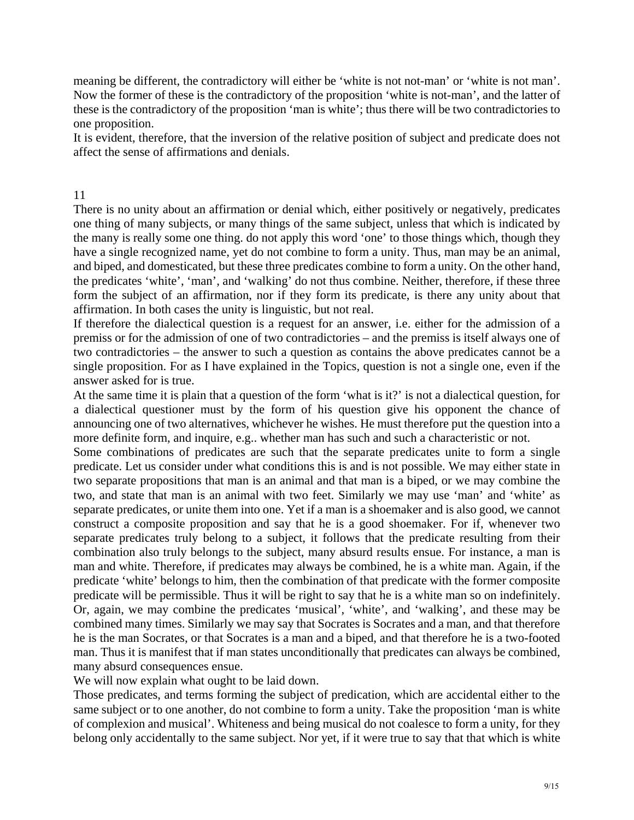meaning be different, the contradictory will either be 'white is not not-man' or 'white is not man'. Now the former of these is the contradictory of the proposition 'white is not-man', and the latter of these is the contradictory of the proposition 'man is white'; thus there will be two contradictories to one proposition.

It is evident, therefore, that the inversion of the relative position of subject and predicate does not affect the sense of affirmations and denials.

## 11

the many is really some one thing. do not apply this word 'one' to those things which, though they and biped, and domesticated, but these three predicates combine to form a unity. On the other hand, the predicates 'white', 'man', and 'walking' do not thus combine. Neither, therefore, if these three form the subject of an affirmation, nor if they form its predicate, is there any unity about that affirmation. In both cases the unity is linguistic, but not real. There is no unity about an affirmation or denial which, either positively or negatively, predicates one thing of many subjects, or many things of the same subject, unless that which is indicated by have a single recognized name, yet do not combine to form a unity. Thus, man may be an animal,

If therefore the dialectical question is a request for an answer, i.e. either for the admission of a premiss or for the admission of one of two contradictories – and the premiss is itself always one of two contradictories – the answer to such a question as contains the above predicates cannot be a single proposition. For as I have explained in the Topics, question is not a single one, even if the answer asked for is true.

announcing one of two alternatives, whichever he wishes. He must therefore put the question into a At the same time it is plain that a question of the form 'what is it?' is not a dialectical question, for a dialectical questioner must by the form of his question give his opponent the chance of more definite form, and inquire, e.g.. whether man has such and such a characteristic or not.

two, and state that man is an animal with two feet. Similarly we may use 'man' and 'white' as Some combinations of predicates are such that the separate predicates unite to form a single predicate. Let us consider under what conditions this is and is not possible. We may either state in two separate propositions that man is an animal and that man is a biped, or we may combine the separate predicates, or unite them into one. Yet if a man is a shoemaker and is also good, we cannot construct a composite proposition and say that he is a good shoemaker. For if, whenever two separate predicates truly belong to a subject, it follows that the predicate resulting from their combination also truly belongs to the subject, many absurd results ensue. For instance, a man is man and white. Therefore, if predicates may always be combined, he is a white man. Again, if the predicate 'white' belongs to him, then the combination of that predicate with the former composite predicate will be permissible. Thus it will be right to say that he is a white man so on indefinitely. Or, again, we may combine the predicates 'musical', 'white', and 'walking', and these may be combined many times. Similarly we may say that Socrates is Socrates and a man, and that therefore he is the man Socrates, or that Socrates is a man and a biped, and that therefore he is a two-footed man. Thus it is manifest that if man states unconditionally that predicates can always be combined, many absurd consequences ensue.

We will now explain what ought to be laid down.

Those predicates, and terms forming the subject of predication, which are accidental either to the same subject or to one another, do not combine to form a unity. Take the proposition 'man is white of complexion and musical'. Whiteness and being musical do not coalesce to form a unity, for they belong only accidentally to the same subject. Nor yet, if it were true to say that that which is white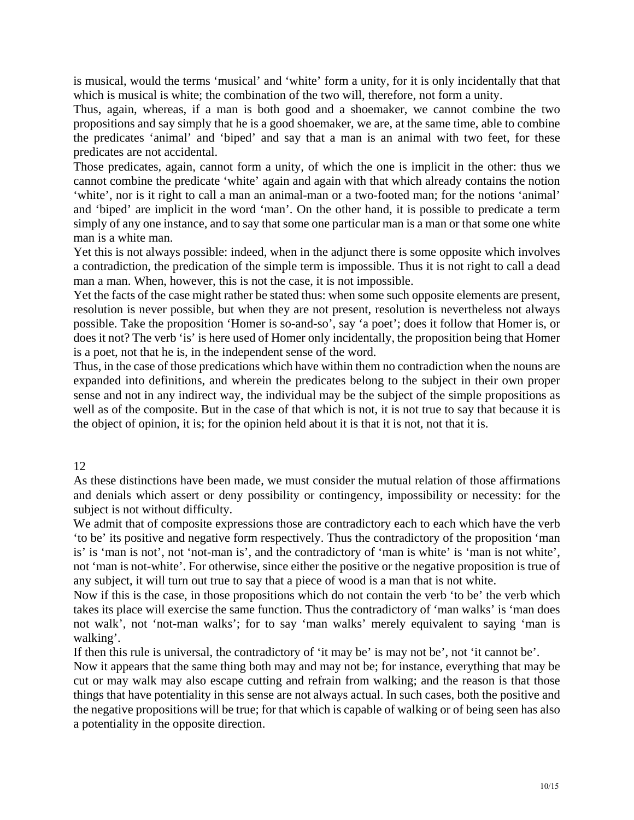is musical, would the terms 'musical' and 'white' form a unity, for it is only incidentally that that which is musical is white; the combination of the two will, therefore, not form a unity.

Thus, again, whereas, if a man is both good and a shoemaker, we cannot combine the two propositions and say simply that he is a good shoemaker, we are, at the same time, able to combine the predicates 'animal' and 'biped' and say that a man is an animal with two feet, for these predicates are not accidental.

simply of any one instance, and to say that some one particular man is a man or that some one white Those predicates, again, cannot form a unity, of which the one is implicit in the other: thus we cannot combine the predicate 'white' again and again with that which already contains the notion 'white', nor is it right to call a man an animal-man or a two-footed man; for the notions 'animal' and 'biped' are implicit in the word 'man'. On the other hand, it is possible to predicate a term man is a white man.

man a man. When, however, this is not the case, it is not impossible. Yet this is not always possible: indeed, when in the adjunct there is some opposite which involves a contradiction, the predication of the simple term is impossible. Thus it is not right to call a dead

Yet the facts of the case might rather be stated thus: when some such opposite elements are present, resolution is never possible, but when they are not present, resolution is nevertheless not always possible. Take the proposition 'Homer is so-and-so', say 'a poet'; does it follow that Homer is, or does it not? The verb 'is' is here used of Homer only incidentally, the proposition being that Homer is a poet, not that he is, in the independent sense of the word.

Thus, in the case of those predications which have within them no contradiction when the nouns are well as of the composite. But in the case of that which is not, it is not true to say that because it is expanded into definitions, and wherein the predicates belong to the subject in their own proper sense and not in any indirect way, the individual may be the subject of the simple propositions as the object of opinion, it is; for the opinion held about it is that it is not, not that it is.

### 12

As these distinctions have been made, we must consider the mutual relation of those affirmations and denials which assert or deny possibility or contingency, impossibility or necessity: for the subject is not without difficulty.

not 'man is not-white'. For otherwise, since either the positive or the negative proposition is true of any subject, it will turn out true to say that a piece of wood is a man that is not white. We admit that of composite expressions those are contradictory each to each which have the verb 'to be' its positive and negative form respectively. Thus the contradictory of the proposition 'man is' is 'man is not', not 'not-man is', and the contradictory of 'man is white' is 'man is not white',

Now if this is the case, in those propositions which do not contain the verb 'to be' the verb which takes its place will exercise the same function. Thus the contradictory of 'man walks' is 'man does not walk', not 'not-man walks'; for to say 'man walks' merely equivalent to saying 'man is walking'.

If then this rule is universal, the contradictory of 'it may be' is may not be', not 'it cannot be'.

Now it appears that the same thing both may and may not be; for instance, everything that may be cut or may walk may also escape cutting and refrain from walking; and the reason is that those things that have potentiality in this sense are not always actual. In such cases, both the positive and the negative propositions will be true; for that which is capable of walking or of being seen has also a potentiality in the opposite direction.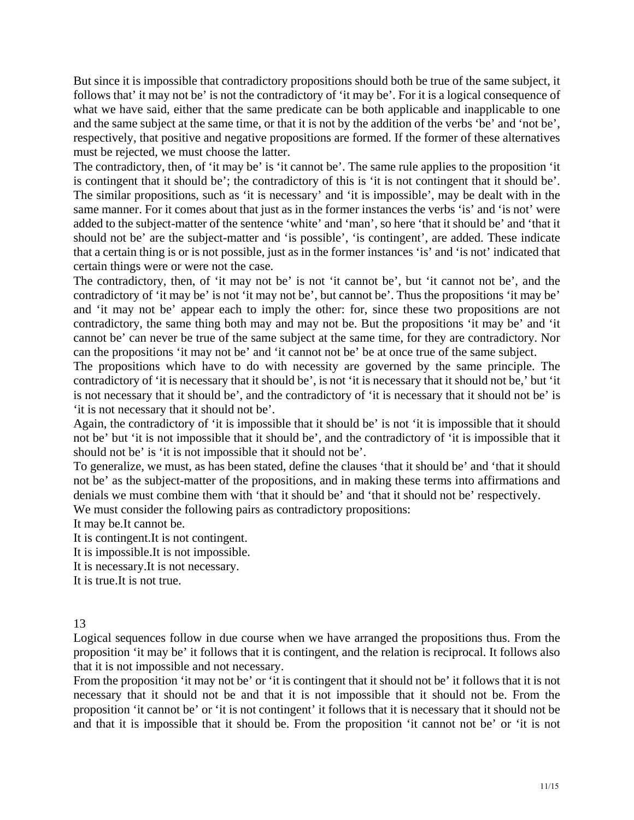But since it is impossible that contradictory propositions should both be true of the same subject, it follows that' it may not be' is not the contradictory of 'it may be'. For it is a logical consequence of what we have said, either that the same predicate can be both applicable and inapplicable to one and the same subject at the same time, or that it is not by the addition of the verbs 'be' and 'not be', respectively, that positive and negative propositions are formed. If the former of these alternatives must be rejected, we must choose the latter.

same manner. For it comes about that just as in the former instances the verbs 'is' and 'is not' were The contradictory, then, of 'it may be' is 'it cannot be'. The same rule applies to the proposition 'it is contingent that it should be'; the contradictory of this is 'it is not contingent that it should be'. The similar propositions, such as 'it is necessary' and 'it is impossible', may be dealt with in the added to the subject-matter of the sentence 'white' and 'man', so here 'that it should be' and 'that it should not be' are the subject-matter and 'is possible', 'is contingent', are added. These indicate that a certain thing is or is not possible, just as in the former instances 'is' and 'is not' indicated that certain things were or were not the case.

contradictory of 'it may be' is not 'it may not be', but cannot be'. Thus the propositions 'it may be' The contradictory, then, of 'it may not be' is not 'it cannot be', but 'it cannot not be', and the and 'it may not be' appear each to imply the other: for, since these two propositions are not contradictory, the same thing both may and may not be. But the propositions 'it may be' and 'it cannot be' can never be true of the same subject at the same time, for they are contradictory. Nor can the propositions 'it may not be' and 'it cannot not be' be at once true of the same subject.

The propositions which have to do with necessity are governed by the same principle. The contradictory of 'it is necessary that it should be', is not 'it is necessary that it should not be,' but 'it is not necessary that it should be', and the contradictory of 'it is necessary that it should not be' is 'it is not necessary that it should not be'.

Again, the contradictory of 'it is impossible that it should be' is not 'it is impossible that it should not be' but 'it is not impossible that it should be', and the contradictory of 'it is impossible that it should not be' is 'it is not impossible that it should not be'.

To generalize, we must, as has been stated, define the clauses 'that it should be' and 'that it should not be' as the subject-matter of the propositions, and in making these terms into affirmations and denials we must combine them with 'that it should be' and 'that it should not be' respectively. We must consider the following pairs as contradictory propositions:

It may be.It cannot be.

It is contingent.It is not contingent.

It is impossible.It is not impossible.

It is necessary.It is not necessary.

It is true.It is not true.

# 13

proposition 'it may be' it follows that it is contingent, and the relation is reciprocal. It follows also Logical sequences follow in due course when we have arranged the propositions thus. From the that it is not impossible and not necessary.

From the proposition 'it may not be' or 'it is contingent that it should not be' it follows that it is not necessary that it should not be and that it is not impossible that it should not be. From the proposition 'it cannot be' or 'it is not contingent' it follows that it is necessary that it should not be and that it is impossible that it should be. From the proposition 'it cannot not be' or 'it is not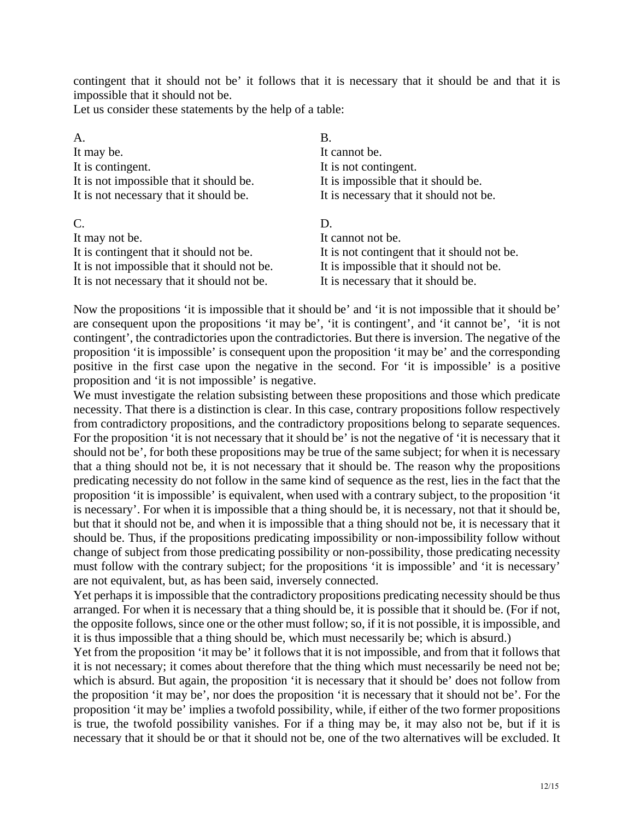contingent that it should not be' it follows that it is necessary that it should be and that it is impossible that it should not be.

Let us consider these statements by the help of a table:

| A.                                          | Β.                                          |
|---------------------------------------------|---------------------------------------------|
| It may be.                                  | It cannot be.                               |
| It is contingent.                           | It is not contingent.                       |
| It is not impossible that it should be.     | It is impossible that it should be.         |
| It is not necessary that it should be.      | It is necessary that it should not be.      |
| $\mathcal{C}$ .                             | D.                                          |
| It may not be.                              | It cannot not be.                           |
| It is contingent that it should not be.     | It is not contingent that it should not be. |
| It is not impossible that it should not be. | It is impossible that it should not be.     |
| It is not necessary that it should not be.  | It is necessary that it should be.          |

Now the propositions 'it is impossible that it should be' and 'it is not impossible that it should be' are consequent upon the propositions 'it may be', 'it is contingent', and 'it cannot be', 'it is not contingent', the contradictories upon the contradictories. But there is inversion. The negative of the proposition 'it is impossible' is consequent upon the proposition 'it may be' and the corresponding positive in the first case upon the negative in the second. For 'it is impossible' is a positive proposition and 'it is not impossible' is negative.

We must investigate the relation subsisting between these propositions and those which predicate necessity. That there is a distinction is clear. In this case, contrary propositions follow respectively from contradictory propositions, and the contradictory propositions belong to separate sequences. For the proposition 'it is not necessary that it should be' is not the negative of 'it is necessary that it but that it should not be, and when it is impossible that a thing should not be, it is necessary that it should not be', for both these propositions may be true of the same subject; for when it is necessary that a thing should not be, it is not necessary that it should be. The reason why the propositions predicating necessity do not follow in the same kind of sequence as the rest, lies in the fact that the proposition 'it is impossible' is equivalent, when used with a contrary subject, to the proposition 'it is necessary'. For when it is impossible that a thing should be, it is necessary, not that it should be, should be. Thus, if the propositions predicating impossibility or non-impossibility follow without change of subject from those predicating possibility or non-possibility, those predicating necessity must follow with the contrary subject; for the propositions 'it is impossible' and 'it is necessary' are not equivalent, but, as has been said, inversely connected.

Yet perhaps it is impossible that the contradictory propositions predicating necessity should be thus arranged. For when it is necessary that a thing should be, it is possible that it should be. (For if not, the opposite follows, since one or the other must follow; so, if it is not possible, it is impossible, and it is thus impossible that a thing should be, which must necessarily be; which is absurd.)

necessary that it should be or that it should not be, one of the two alternatives will be excluded. It Yet from the proposition 'it may be' it follows that it is not impossible, and from that it follows that it is not necessary; it comes about therefore that the thing which must necessarily be need not be; which is absurd. But again, the proposition 'it is necessary that it should be' does not follow from the proposition 'it may be', nor does the proposition 'it is necessary that it should not be'. For the proposition 'it may be' implies a twofold possibility, while, if either of the two former propositions is true, the twofold possibility vanishes. For if a thing may be, it may also not be, but if it is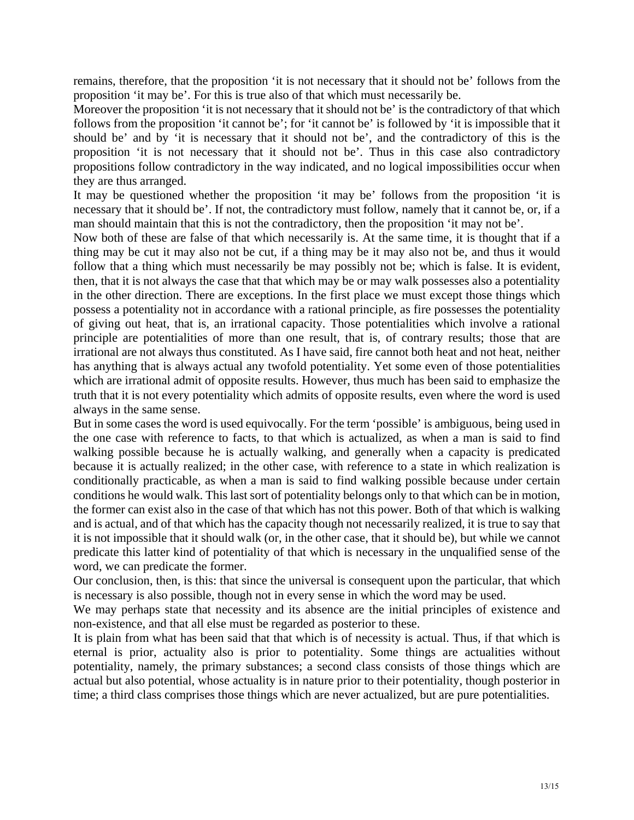remains, therefore, that the proposition 'it is not necessary that it should not be' follows from the proposition 'it may be'. For this is true also of that which must necessarily be.

Moreover the proposition 'it is not necessary that it should not be' is the contradictory of that which follows from the proposition 'it cannot be'; for 'it cannot be' is followed by 'it is impossible that it should be' and by 'it is necessary that it should not be', and the contradictory of this is the proposition 'it is not necessary that it should not be'. Thus in this case also contradictory propositions follow contradictory in the way indicated, and no logical impossibilities occur when they are thus arranged.

It may be questioned whether the proposition 'it may be' follows from the proposition 'it is necessary that it should be'. If not, the contradictory must follow, namely that it cannot be, or, if a man should maintain that this is not the contradictory, then the proposition 'it may not be'.

follow that a thing which must necessarily be may possibly not be; which is false. It is evident, irrational are not always thus constituted. As I have said, fire cannot both heat and not heat, neither truth that it is not every potentiality which admits of opposite results, even where the word is used Now both of these are false of that which necessarily is. At the same time, it is thought that if a thing may be cut it may also not be cut, if a thing may be it may also not be, and thus it would then, that it is not always the case that that which may be or may walk possesses also a potentiality in the other direction. There are exceptions. In the first place we must except those things which possess a potentiality not in accordance with a rational principle, as fire possesses the potentiality of giving out heat, that is, an irrational capacity. Those potentialities which involve a rational principle are potentialities of more than one result, that is, of contrary results; those that are has anything that is always actual any twofold potentiality. Yet some even of those potentialities which are irrational admit of opposite results. However, thus much has been said to emphasize the always in the same sense.

But in some cases the word is used equivocally. For the term 'possible' is ambiguous, being used in the one case with reference to facts, to that which is actualized, as when a man is said to find walking possible because he is actually walking, and generally when a capacity is predicated because it is actually realized; in the other case, with reference to a state in which realization is conditionally practicable, as when a man is said to find walking possible because under certain conditions he would walk. This last sort of potentiality belongs only to that which can be in motion, the former can exist also in the case of that which has not this power. Both of that which is walking and is actual, and of that which has the capacity though not necessarily realized, it is true to say that it is not impossible that it should walk (or, in the other case, that it should be), but while we cannot predicate this latter kind of potentiality of that which is necessary in the unqualified sense of the word, we can predicate the former.

Our conclusion, then, is this: that since the universal is consequent upon the particular, that which is necessary is also possible, though not in every sense in which the word may be used.

We may perhaps state that necessity and its absence are the initial principles of existence and non-existence, and that all else must be regarded as posterior to these.

It is plain from what has been said that that which is of necessity is actual. Thus, if that which is eternal is prior, actuality also is prior to potentiality. Some things are actualities without potentiality, namely, the primary substances; a second class consists of those things which are actual but also potential, whose actuality is in nature prior to their potentiality, though posterior in time; a third class comprises those things which are never actualized, but are pure potentialities.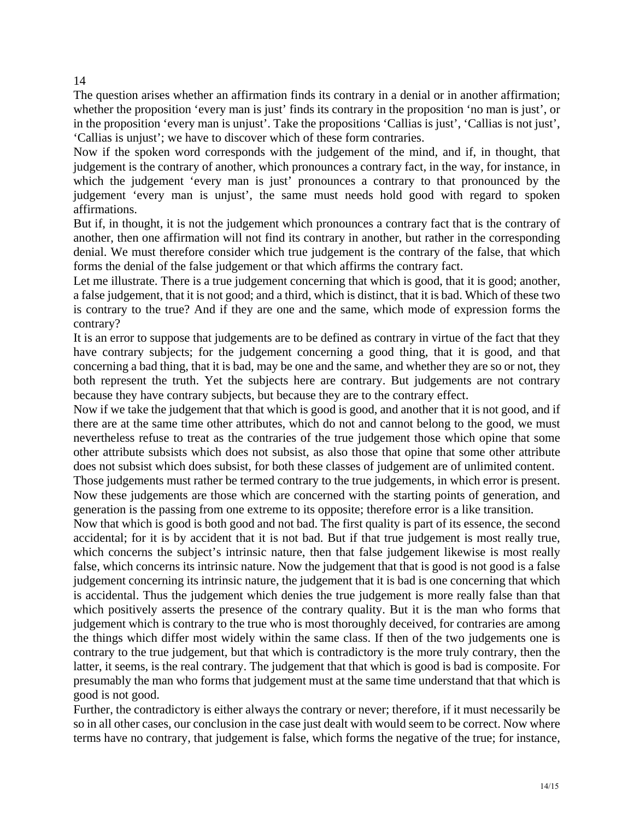14

The question arises whether an affirmation finds its contrary in a denial or in another affirmation; in the proposition 'every man is unjust'. Take the propositions 'Callias is just', 'Callias is not just', whether the proposition 'every man is just' finds its contrary in the proposition 'no man is just', or 'Callias is unjust'; we have to discover which of these form contraries.

Now if the spoken word corresponds with the judgement of the mind, and if, in thought, that judgement is the contrary of another, which pronounces a contrary fact, in the way, for instance, in which the judgement 'every man is just' pronounces a contrary to that pronounced by the judgement 'every man is unjust', the same must needs hold good with regard to spoken affirmations.

But if, in thought, it is not the judgement which pronounces a contrary fact that is the contrary of nother, then one affirmation will not find its contrary in another, but rather in the corresponding a denial. We must therefore consider which true judgement is the contrary of the false, that which forms the denial of the false judgement or that which affirms the contrary fact.

is contrary to the true? And if they are one and the same, which mode of expression forms the Let me illustrate. There is a true judgement concerning that which is good, that it is good; another, a false judgement, that it is not good; and a third, which is distinct, that it is bad. Which of these two contrary?

both represent the truth. Yet the subjects here are contrary. But judgements are not contrary It is an error to suppose that judgements are to be defined as contrary in virtue of the fact that they have contrary subjects; for the judgement concerning a good thing, that it is good, and that concerning a bad thing, that it is bad, may be one and the same, and whether they are so or not, they because they have contrary subjects, but because they are to the contrary effect.

nevertheless refuse to treat as the contraries of the true judgement those which opine that some Now if we take the judgement that that which is good is good, and another that it is not good, and if there are at the same time other attributes, which do not and cannot belong to the good, we must other attribute subsists which does not subsist, as also those that opine that some other attribute does not subsist which does subsist, for both these classes of judgement are of unlimited content.

Now these judgements are those which are concerned with the starting points of generation, and Those judgements must rather be termed contrary to the true judgements, in which error is present. generation is the passing from one extreme to its opposite; therefore error is a like transition.

false, which concerns its intrinsic nature. Now the judgement that that is good is not good is a false contrary to the true judgement, but that which is contradictory is the more truly contrary, then the Now that which is good is both good and not bad. The first quality is part of its essence, the second accidental; for it is by accident that it is not bad. But if that true judgement is most really true, which concerns the subject's intrinsic nature, then that false judgement likewise is most really judgement concerning its intrinsic nature, the judgement that it is bad is one concerning that which is accidental. Thus the judgement which denies the true judgement is more really false than that which positively asserts the presence of the contrary quality. But it is the man who forms that judgement which is contrary to the true who is most thoroughly deceived, for contraries are among the things which differ most widely within the same class. If then of the two judgements one is latter, it seems, is the real contrary. The judgement that that which is good is bad is composite. For presumably the man who forms that judgement must at the same time understand that that which is good is not good.

Further, the contradictory is either always the contrary or never; therefore, if it must necessarily be so in all other cases, our conclusion in the case just dealt with would seem to be correct. Now where terms have no contrary, that judgement is false, which forms the negative of the true; for instance,